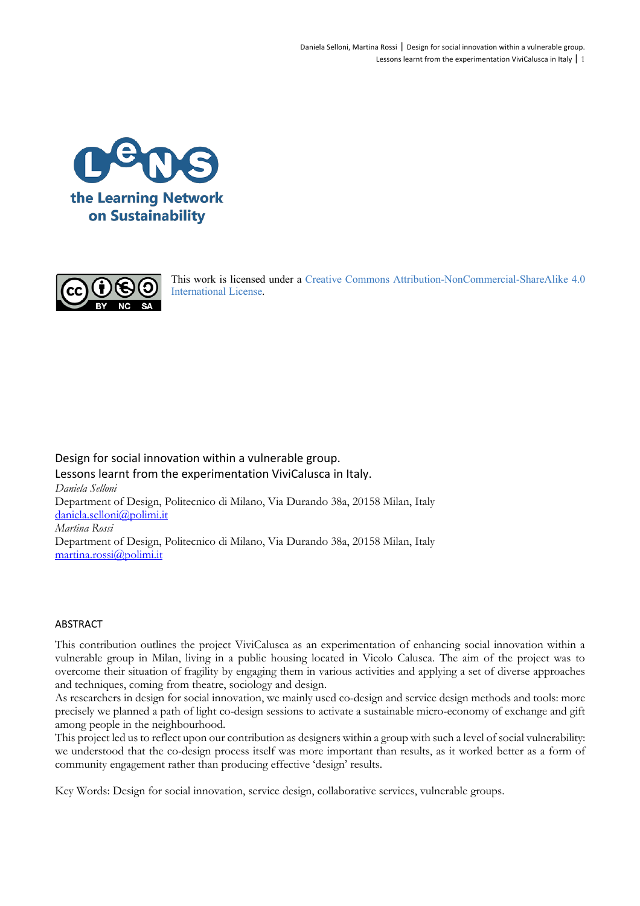



This work is licensed under a Creative Commons Attribution-NonCommercial-ShareAlike 4.0 International License.

Design for social innovation within a vulnerable group. Lessons learnt from the experimentation ViviCalusca in Italy. *Daniela Selloni* Department of Design, Politecnico di Milano, Via Durando 38a, 20158 Milan, Italy daniela.selloni@polimi.it *Martina Rossi* Department of Design, Politecnico di Milano, Via Durando 38a, 20158 Milan, Italy martina.rossi@polimi.it

#### ABSTRACT

This contribution outlines the project ViviCalusca as an experimentation of enhancing social innovation within a vulnerable group in Milan, living in a public housing located in Vicolo Calusca. The aim of the project was to overcome their situation of fragility by engaging them in various activities and applying a set of diverse approaches and techniques, coming from theatre, sociology and design.

As researchers in design for social innovation, we mainly used co-design and service design methods and tools: more precisely we planned a path of light co-design sessions to activate a sustainable micro-economy of exchange and gift among people in the neighbourhood.

This project led us to reflect upon our contribution as designers within a group with such a level of social vulnerability: we understood that the co-design process itself was more important than results, as it worked better as a form of community engagement rather than producing effective 'design' results.

Key Words: Design for social innovation, service design, collaborative services, vulnerable groups.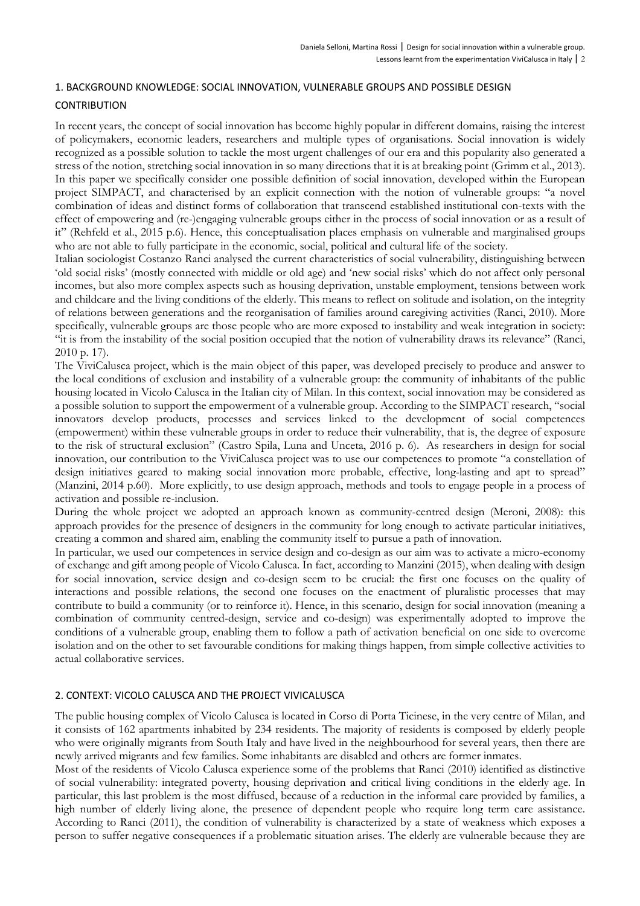# 1. BACKGROUND KNOWLEDGE: SOCIAL INNOVATION, VULNERABLE GROUPS AND POSSIBLE DESIGN

## **CONTRIBUTION**

In recent years, the concept of social innovation has become highly popular in different domains, raising the interest of policymakers, economic leaders, researchers and multiple types of organisations. Social innovation is widely recognized as a possible solution to tackle the most urgent challenges of our era and this popularity also generated a stress of the notion, stretching social innovation in so many directions that it is at breaking point (Grimm et al., 2013). In this paper we specifically consider one possible definition of social innovation, developed within the European project SIMPACT, and characterised by an explicit connection with the notion of vulnerable groups: "a novel combination of ideas and distinct forms of collaboration that transcend established institutional con-texts with the effect of empowering and (re-)engaging vulnerable groups either in the process of social innovation or as a result of it" (Rehfeld et al., 2015 p.6). Hence, this conceptualisation places emphasis on vulnerable and marginalised groups who are not able to fully participate in the economic, social, political and cultural life of the society.

Italian sociologist Costanzo Ranci analysed the current characteristics of social vulnerability, distinguishing between 'old social risks' (mostly connected with middle or old age) and 'new social risks' which do not affect only personal incomes, but also more complex aspects such as housing deprivation, unstable employment, tensions between work and childcare and the living conditions of the elderly. This means to reflect on solitude and isolation, on the integrity of relations between generations and the reorganisation of families around caregiving activities (Ranci, 2010). More specifically, vulnerable groups are those people who are more exposed to instability and weak integration in society: "it is from the instability of the social position occupied that the notion of vulnerability draws its relevance" (Ranci, 2010 p. 17).

The ViviCalusca project, which is the main object of this paper, was developed precisely to produce and answer to the local conditions of exclusion and instability of a vulnerable group: the community of inhabitants of the public housing located in Vicolo Calusca in the Italian city of Milan. In this context, social innovation may be considered as a possible solution to support the empowerment of a vulnerable group. According to the SIMPACT research, "social innovators develop products, processes and services linked to the development of social competences (empowerment) within these vulnerable groups in order to reduce their vulnerability, that is, the degree of exposure to the risk of structural exclusion" (Castro Spila, Luna and Unceta, 2016 p. 6). As researchers in design for social innovation, our contribution to the ViviCalusca project was to use our competences to promote "a constellation of design initiatives geared to making social innovation more probable, effective, long-lasting and apt to spread" (Manzini, 2014 p.60). More explicitly, to use design approach, methods and tools to engage people in a process of activation and possible re-inclusion.

During the whole project we adopted an approach known as community-centred design (Meroni, 2008): this approach provides for the presence of designers in the community for long enough to activate particular initiatives, creating a common and shared aim, enabling the community itself to pursue a path of innovation.

In particular, we used our competences in service design and co-design as our aim was to activate a micro-economy of exchange and gift among people of Vicolo Calusca. In fact, according to Manzini (2015), when dealing with design for social innovation, service design and co-design seem to be crucial: the first one focuses on the quality of interactions and possible relations, the second one focuses on the enactment of pluralistic processes that may contribute to build a community (or to reinforce it). Hence, in this scenario, design for social innovation (meaning a combination of community centred-design, service and co-design) was experimentally adopted to improve the conditions of a vulnerable group, enabling them to follow a path of activation beneficial on one side to overcome isolation and on the other to set favourable conditions for making things happen, from simple collective activities to actual collaborative services.

## 2. CONTEXT: VICOLO CALUSCA AND THE PROJECT VIVICALUSCA

The public housing complex of Vicolo Calusca is located in Corso di Porta Ticinese, in the very centre of Milan, and it consists of 162 apartments inhabited by 234 residents. The majority of residents is composed by elderly people who were originally migrants from South Italy and have lived in the neighbourhood for several years, then there are newly arrived migrants and few families. Some inhabitants are disabled and others are former inmates.

Most of the residents of Vicolo Calusca experience some of the problems that Ranci (2010) identified as distinctive of social vulnerability: integrated poverty, housing deprivation and critical living conditions in the elderly age. In particular, this last problem is the most diffused, because of a reduction in the informal care provided by families, a high number of elderly living alone, the presence of dependent people who require long term care assistance. According to Ranci (2011), the condition of vulnerability is characterized by a state of weakness which exposes a person to suffer negative consequences if a problematic situation arises. The elderly are vulnerable because they are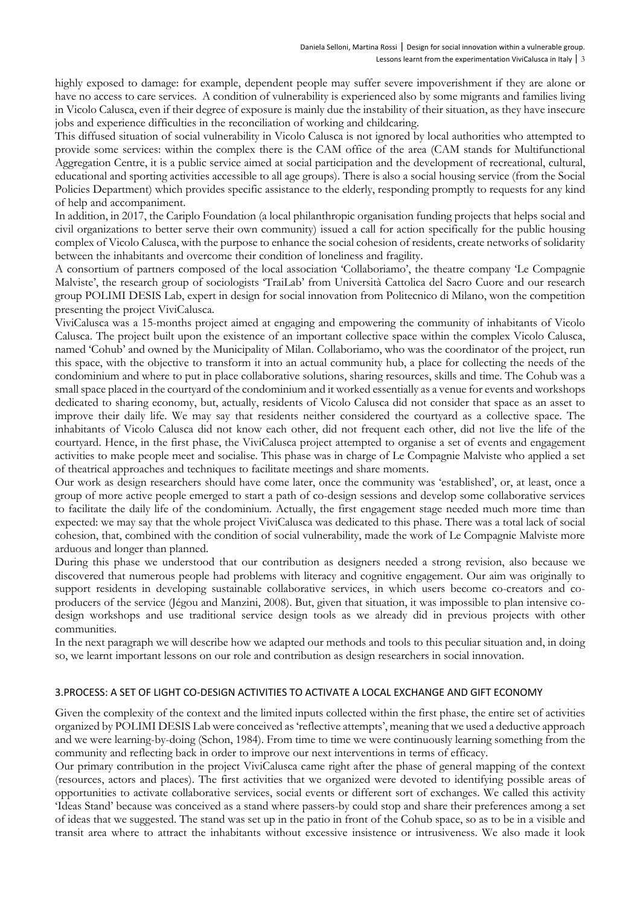highly exposed to damage: for example, dependent people may suffer severe impoverishment if they are alone or have no access to care services. A condition of vulnerability is experienced also by some migrants and families living in Vicolo Calusca, even if their degree of exposure is mainly due the instability of their situation, as they have insecure jobs and experience difficulties in the reconciliation of working and childcaring.

This diffused situation of social vulnerability in Vicolo Calusca is not ignored by local authorities who attempted to provide some services: within the complex there is the CAM office of the area (CAM stands for Multifunctional Aggregation Centre, it is a public service aimed at social participation and the development of recreational, cultural, educational and sporting activities accessible to all age groups). There is also a social housing service (from the Social Policies Department) which provides specific assistance to the elderly, responding promptly to requests for any kind of help and accompaniment.

In addition, in 2017, the Cariplo Foundation (a local philanthropic organisation funding projects that helps social and civil organizations to better serve their own community) issued a call for action specifically for the public housing complex of Vicolo Calusca, with the purpose to enhance the social cohesion of residents, create networks of solidarity between the inhabitants and overcome their condition of loneliness and fragility.

A consortium of partners composed of the local association 'Collaboriamo', the theatre company 'Le Compagnie Malviste', the research group of sociologists 'TraiLab' from Università Cattolica del Sacro Cuore and our research group POLIMI DESIS Lab, expert in design for social innovation from Politecnico di Milano, won the competition presenting the project ViviCalusca.

ViviCalusca was a 15-months project aimed at engaging and empowering the community of inhabitants of Vicolo Calusca. The project built upon the existence of an important collective space within the complex Vicolo Calusca, named 'Cohub' and owned by the Municipality of Milan. Collaboriamo, who was the coordinator of the project, run this space, with the objective to transform it into an actual community hub, a place for collecting the needs of the condominium and where to put in place collaborative solutions, sharing resources, skills and time. The Cohub was a small space placed in the courtyard of the condominium and it worked essentially as a venue for events and workshops dedicated to sharing economy, but, actually, residents of Vicolo Calusca did not consider that space as an asset to improve their daily life. We may say that residents neither considered the courtyard as a collective space. The inhabitants of Vicolo Calusca did not know each other, did not frequent each other, did not live the life of the courtyard. Hence, in the first phase, the ViviCalusca project attempted to organise a set of events and engagement activities to make people meet and socialise. This phase was in charge of Le Compagnie Malviste who applied a set of theatrical approaches and techniques to facilitate meetings and share moments.

Our work as design researchers should have come later, once the community was 'established', or, at least, once a group of more active people emerged to start a path of co-design sessions and develop some collaborative services to facilitate the daily life of the condominium. Actually, the first engagement stage needed much more time than expected: we may say that the whole project ViviCalusca was dedicated to this phase. There was a total lack of social cohesion, that, combined with the condition of social vulnerability, made the work of Le Compagnie Malviste more arduous and longer than planned.

During this phase we understood that our contribution as designers needed a strong revision, also because we discovered that numerous people had problems with literacy and cognitive engagement. Our aim was originally to support residents in developing sustainable collaborative services, in which users become co-creators and coproducers of the service (Jégou and Manzini, 2008). But, given that situation, it was impossible to plan intensive codesign workshops and use traditional service design tools as we already did in previous projects with other communities.

In the next paragraph we will describe how we adapted our methods and tools to this peculiar situation and, in doing so, we learnt important lessons on our role and contribution as design researchers in social innovation.

## 3.PROCESS: A SET OF LIGHT CO-DESIGN ACTIVITIES TO ACTIVATE A LOCAL EXCHANGE AND GIFT ECONOMY

Given the complexity of the context and the limited inputs collected within the first phase, the entire set of activities organized by POLIMI DESIS Lab were conceived as 'reflective attempts', meaning that we used a deductive approach and we were learning-by-doing (Schon, 1984). From time to time we were continuously learning something from the community and reflecting back in order to improve our next interventions in terms of efficacy.

Our primary contribution in the project ViviCalusca came right after the phase of general mapping of the context (resources, actors and places). The first activities that we organized were devoted to identifying possible areas of opportunities to activate collaborative services, social events or different sort of exchanges. We called this activity 'Ideas Stand' because was conceived as a stand where passers-by could stop and share their preferences among a set of ideas that we suggested. The stand was set up in the patio in front of the Cohub space, so as to be in a visible and transit area where to attract the inhabitants without excessive insistence or intrusiveness. We also made it look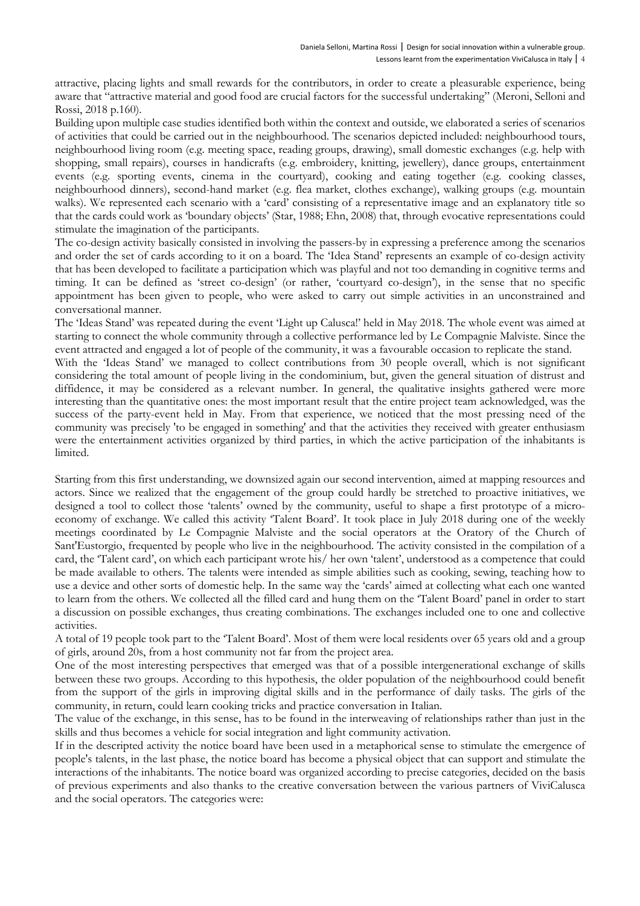attractive, placing lights and small rewards for the contributors, in order to create a pleasurable experience, being aware that "attractive material and good food are crucial factors for the successful undertaking" (Meroni, Selloni and Rossi, 2018 p.160).

Building upon multiple case studies identified both within the context and outside, we elaborated a series of scenarios of activities that could be carried out in the neighbourhood. The scenarios depicted included: neighbourhood tours, neighbourhood living room (e.g. meeting space, reading groups, drawing), small domestic exchanges (e.g. help with shopping, small repairs), courses in handicrafts (e.g. embroidery, knitting, jewellery), dance groups, entertainment events (e.g. sporting events, cinema in the courtyard), cooking and eating together (e.g. cooking classes, neighbourhood dinners), second-hand market (e.g. flea market, clothes exchange), walking groups (e.g. mountain walks). We represented each scenario with a 'card' consisting of a representative image and an explanatory title so that the cards could work as 'boundary objects' (Star, 1988; Ehn, 2008) that, through evocative representations could stimulate the imagination of the participants.

The co-design activity basically consisted in involving the passers-by in expressing a preference among the scenarios and order the set of cards according to it on a board. The 'Idea Stand' represents an example of co-design activity that has been developed to facilitate a participation which was playful and not too demanding in cognitive terms and timing. It can be defined as 'street co-design' (or rather, 'courtyard co-design'), in the sense that no specific appointment has been given to people, who were asked to carry out simple activities in an unconstrained and conversational manner.

The 'Ideas Stand' was repeated during the event 'Light up Calusca!' held in May 2018. The whole event was aimed at starting to connect the whole community through a collective performance led by Le Compagnie Malviste. Since the event attracted and engaged a lot of people of the community, it was a favourable occasion to replicate the stand.

With the 'Ideas Stand' we managed to collect contributions from 30 people overall, which is not significant considering the total amount of people living in the condominium, but, given the general situation of distrust and diffidence, it may be considered as a relevant number. In general, the qualitative insights gathered were more interesting than the quantitative ones: the most important result that the entire project team acknowledged, was the success of the party-event held in May. From that experience, we noticed that the most pressing need of the community was precisely 'to be engaged in something' and that the activities they received with greater enthusiasm were the entertainment activities organized by third parties, in which the active participation of the inhabitants is limited.

Starting from this first understanding, we downsized again our second intervention, aimed at mapping resources and actors. Since we realized that the engagement of the group could hardly be stretched to proactive initiatives, we designed a tool to collect those 'talents' owned by the community, useful to shape a first prototype of a microeconomy of exchange. We called this activity 'Talent Board'. It took place in July 2018 during one of the weekly meetings coordinated by Le Compagnie Malviste and the social operators at the Oratory of the Church of Sant'Eustorgio, frequented by people who live in the neighbourhood. The activity consisted in the compilation of a card, the 'Talent card', on which each participant wrote his/ her own 'talent', understood as a competence that could be made available to others. The talents were intended as simple abilities such as cooking, sewing, teaching how to use a device and other sorts of domestic help. In the same way the 'cards' aimed at collecting what each one wanted to learn from the others. We collected all the filled card and hung them on the 'Talent Board' panel in order to start a discussion on possible exchanges, thus creating combinations. The exchanges included one to one and collective activities.

A total of 19 people took part to the 'Talent Board'. Most of them were local residents over 65 years old and a group of girls, around 20s, from a host community not far from the project area.

One of the most interesting perspectives that emerged was that of a possible intergenerational exchange of skills between these two groups. According to this hypothesis, the older population of the neighbourhood could benefit from the support of the girls in improving digital skills and in the performance of daily tasks. The girls of the community, in return, could learn cooking tricks and practice conversation in Italian.

The value of the exchange, in this sense, has to be found in the interweaving of relationships rather than just in the skills and thus becomes a vehicle for social integration and light community activation.

If in the descripted activity the notice board have been used in a metaphorical sense to stimulate the emergence of people's talents, in the last phase, the notice board has become a physical object that can support and stimulate the interactions of the inhabitants. The notice board was organized according to precise categories, decided on the basis of previous experiments and also thanks to the creative conversation between the various partners of ViviCalusca and the social operators. The categories were: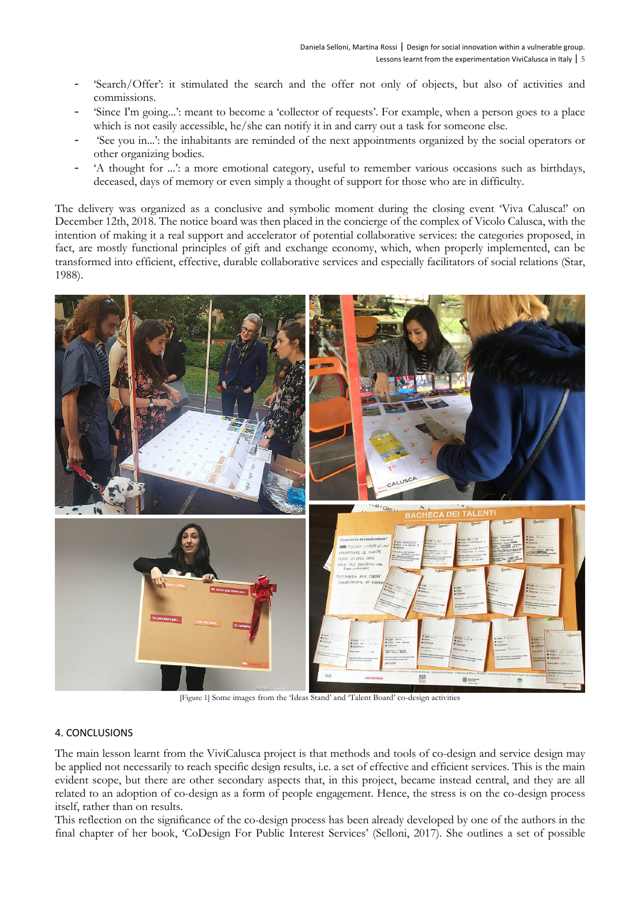- 'Search/Offer': it stimulated the search and the offer not only of objects, but also of activities and commissions.
- 'Since I'm going...': meant to become a 'collector of requests'. For example, when a person goes to a place which is not easily accessible, he/she can notify it in and carry out a task for someone else.
- 'See you in...': the inhabitants are reminded of the next appointments organized by the social operators or other organizing bodies.
- 'A thought for ...': a more emotional category, useful to remember various occasions such as birthdays, deceased, days of memory or even simply a thought of support for those who are in difficulty.

The delivery was organized as a conclusive and symbolic moment during the closing event 'Viva Calusca!' on December 12th, 2018. The notice board was then placed in the concierge of the complex of Vicolo Calusca, with the intention of making it a real support and accelerator of potential collaborative services: the categories proposed, in fact, are mostly functional principles of gift and exchange economy, which, when properly implemented, can be transformed into efficient, effective, durable collaborative services and especially facilitators of social relations (Star, 1988).



[Figure 1] Some images from the 'Ideas Stand' and 'Talent Board' co-design activities

## 4. CONCLUSIONS

The main lesson learnt from the ViviCalusca project is that methods and tools of co-design and service design may be applied not necessarily to reach specific design results, i.e. a set of effective and efficient services. This is the main evident scope, but there are other secondary aspects that, in this project, became instead central, and they are all related to an adoption of co-design as a form of people engagement. Hence, the stress is on the co-design process itself, rather than on results.

This reflection on the significance of the co-design process has been already developed by one of the authors in the final chapter of her book, 'CoDesign For Public Interest Services' (Selloni, 2017). She outlines a set of possible